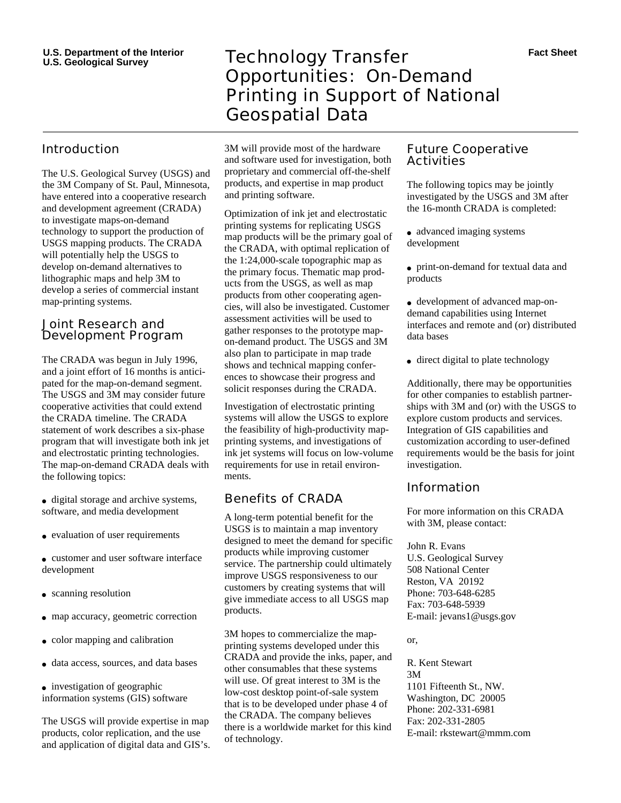## Introduction

The U.S. Geological Survey (USGS) and the 3M Company of St. Paul, Minnesota, have entered into a cooperative research and development agreement (CRADA) to investigate maps-on-demand technology to support the production of USGS mapping products. The CRADA will potentially help the USGS to develop on-demand alternatives to lithographic maps and help 3M to develop a series of commercial instant map-printing systems.

#### Joint Research and Development Program

The CRADA was begun in July 1996, and a joint effort of 16 months is anticipated for the map-on-demand segment. The USGS and 3M may consider future cooperative activities that could extend the CRADA timeline. The CRADA statement of work describes a six-phase program that will investigate both ink jet and electrostatic printing technologies. The map-on-demand CRADA deals with the following topics:

- digital storage and archive systems, software, and media development
- evaluation of user requirements
- customer and user software interface development
- scanning resolution
- map accuracy, geometric correction
- color mapping and calibration
- data access, sources, and data bases
- investigation of geographic information systems (GIS) software

The USGS will provide expertise in map products, color replication, and the use and application of digital data and GIS's.

# **Technology Transfer** Opportunities: On-Demand Printing in Support of National Geospatial Data

3M will provide most of the hardware and software used for investigation, both proprietary and commercial off-the-shelf products, and expertise in map product and printing software.

Optimization of ink jet and electrostatic printing systems for replicating USGS map products will be the primary goal of the CRADA, with optimal replication of the 1:24,000-scale topographic map as the primary focus. Thematic map products from the USGS, as well as map products from other cooperating agencies, will also be investigated. Customer assessment activities will be used to gather responses to the prototype mapon-demand product. The USGS and 3M also plan to participate in map trade shows and technical mapping conferences to showcase their progress and solicit responses during the CRADA.

Investigation of electrostatic printing systems will allow the USGS to explore the feasibility of high-productivity mapprinting systems, and investigations of ink jet systems will focus on low-volume requirements for use in retail environments.

## Benefits of CRADA

A long-term potential benefit for the USGS is to maintain a map inventory designed to meet the demand for specific products while improving customer service. The partnership could ultimately improve USGS responsiveness to our customers by creating systems that will give immediate access to all USGS map products.

3M hopes to commercialize the mapprinting systems developed under this CRADA and provide the inks, paper, and other consumables that these systems will use. Of great interest to 3M is the low-cost desktop point-of-sale system that is to be developed under phase 4 of the CRADA. The company believes there is a worldwide market for this kind of technology.

### Future Cooperative Activities

The following topics may be jointly investigated by the USGS and 3M after the 16-month CRADA is completed:

- advanced imaging systems development
- print-on-demand for textual data and products

● development of advanced map-ondemand capabilities using Internet interfaces and remote and (or) distributed data bases

• direct digital to plate technology

Additionally, there may be opportunities for other companies to establish partnerships with 3M and (or) with the USGS to explore custom products and services. Integration of GIS capabilities and customization according to user-defined requirements would be the basis for joint investigation.

### Information

For more information on this CRADA with 3M, please contact:

John R. Evans U.S. Geological Survey 508 National Center Reston, VA 20192 Phone: 703-648-6285 Fax: 703-648-5939 E-mail: jevans1@usgs.gov

or,

R. Kent Stewart 3M 1101 Fifteenth St., NW. Washington, DC 20005 Phone: 202-331-6981 Fax: 202-331-2805 E-mail: rkstewart@mmm.com